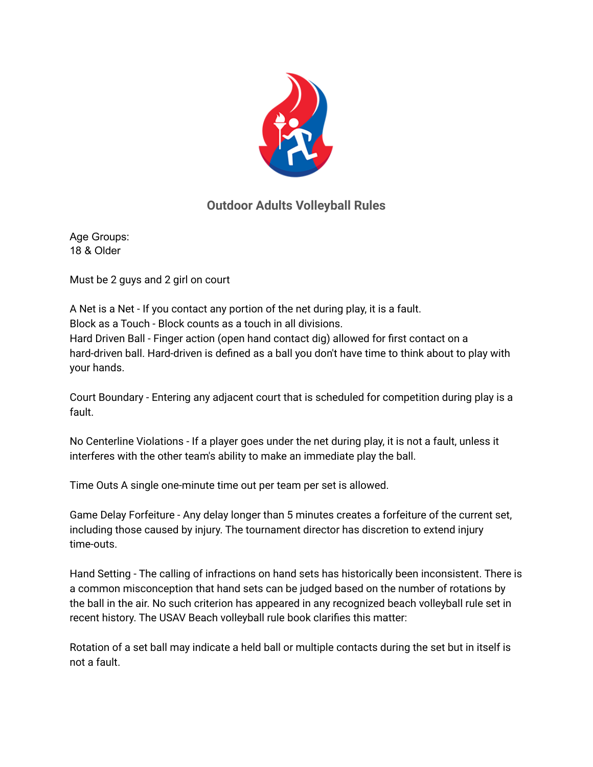

## **Outdoor Adults Volleyball Rules**

Age Groups: 18 & Older

Must be 2 guys and 2 girl on court

A Net is a Net - If you contact any portion of the net during play, it is a fault. Block as a Touch - Block counts as a touch in all divisions. Hard Driven Ball - Finger action (open hand contact dig) allowed for first contact on a hard-driven ball. Hard-driven is defined as a ball you don't have time to think about to play with your hands.

Court Boundary - Entering any adjacent court that is scheduled for competition during play is a fault.

No Centerline Violations - If a player goes under the net during play, it is not a fault, unless it interferes with the other team's ability to make an immediate play the ball.

Time Outs A single one-minute time out per team per set is allowed.

Game Delay Forfeiture - Any delay longer than 5 minutes creates a forfeiture of the current set, including those caused by injury. The tournament director has discretion to extend injury time-outs.

Hand Setting - The calling of infractions on hand sets has historically been inconsistent. There is a common misconception that hand sets can be judged based on the number of rotations by the ball in the air. No such criterion has appeared in any recognized beach volleyball rule set in recent history. The USAV Beach volleyball rule book clarifies this matter:

Rotation of a set ball may indicate a held ball or multiple contacts during the set but in itself is not a fault.